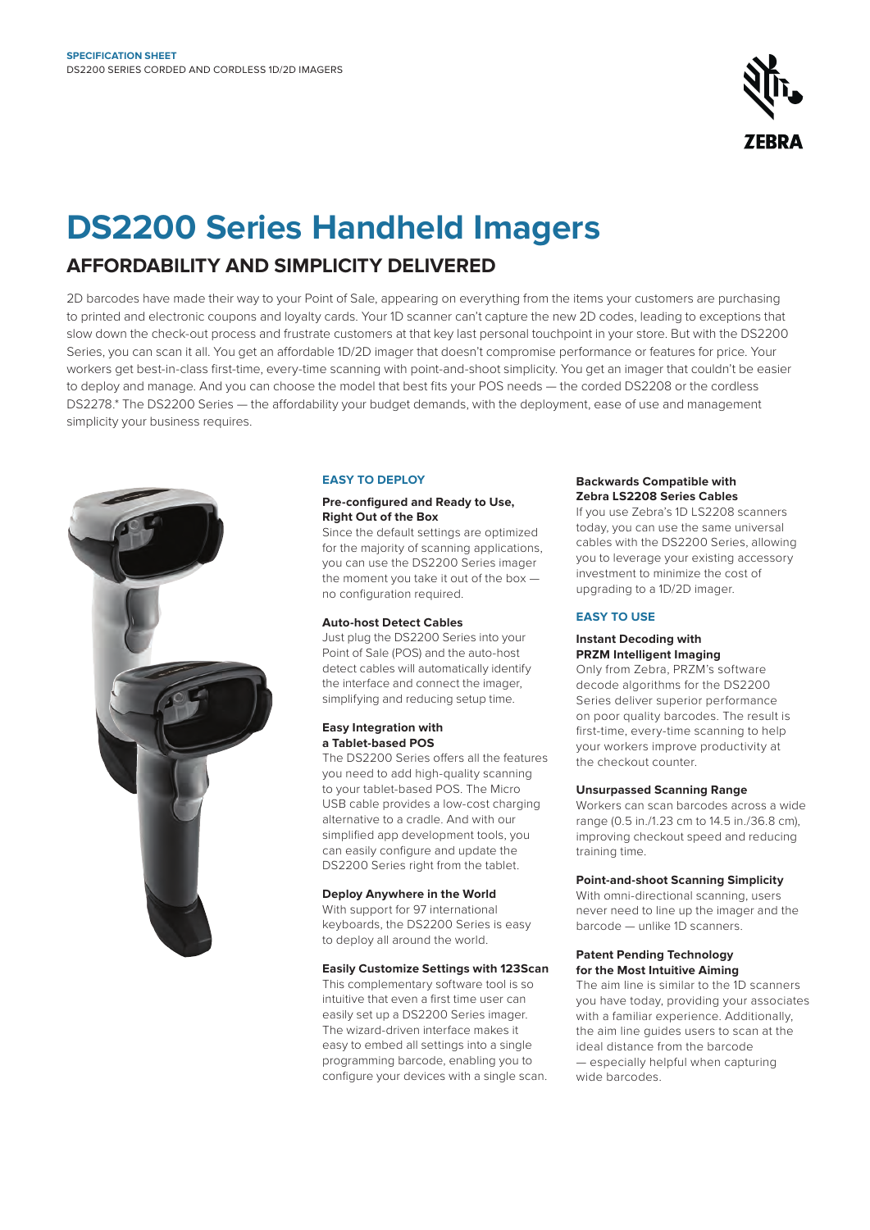

# **DS2200 Series Handheld Imagers**

# **AFFORDABILITY AND SIMPLICITY DELIVERED**

2D barcodes have made their way to your Point of Sale, appearing on everything from the items your customers are purchasing to printed and electronic coupons and loyalty cards. Your 1D scanner can't capture the new 2D codes, leading to exceptions that slow down the check-out process and frustrate customers at that key last personal touchpoint in your store. But with the DS2200 Series, you can scan it all. You get an affordable 1D/2D imager that doesn't compromise performance or features for price. Your workers get best-in-class first-time, every-time scanning with point-and-shoot simplicity. You get an imager that couldn't be easier to deploy and manage. And you can choose the model that best fits your POS needs — the corded DS2208 or the cordless DS2278.\* The DS2200 Series — the affordability your budget demands, with the deployment, ease of use and management simplicity your business requires.



# **EASY TO DEPLOY**

# **Pre-configured and Ready to Use, Right Out of the Box**

Since the default settings are optimized for the majority of scanning applications, you can use the DS2200 Series imager the moment you take it out of the box no configuration required.

# **Auto-host Detect Cables**

Just plug the DS2200 Series into your Point of Sale (POS) and the auto-host detect cables will automatically identify the interface and connect the imager, simplifying and reducing setup time.

# **Easy Integration with a Tablet-based POS**

The DS2200 Series offers all the features you need to add high-quality scanning to your tablet-based POS. The Micro USB cable provides a low-cost charging alternative to a cradle. And with our simplified app development tools, you can easily configure and update the DS2200 Series right from the tablet.

# **Deploy Anywhere in the World**

With support for 97 international keyboards, the DS2200 Series is easy to deploy all around the world.

# **Easily Customize Settings with 123Scan**

This complementary software tool is so intuitive that even a first time user can easily set up a DS2200 Series imager. The wizard-driven interface makes it easy to embed all settings into a single programming barcode, enabling you to configure your devices with a single scan.

### **Backwards Compatible with Zebra LS2208 Series Cables**

If you use Zebra's 1D LS2208 scanners today, you can use the same universal cables with the DS2200 Series, allowing you to leverage your existing accessory investment to minimize the cost of upgrading to a 1D/2D imager.

# **EASY TO USE**

# **Instant Decoding with PRZM Intelligent Imaging**

Only from Zebra, PRZM's software decode algorithms for the DS2200 Series deliver superior performance on poor quality barcodes. The result is first-time, every-time scanning to help your workers improve productivity at the checkout counter.

# **Unsurpassed Scanning Range**

Workers can scan barcodes across a wide range (0.5 in./1.23 cm to 14.5 in./36.8 cm), improving checkout speed and reducing training time.

# **Point-and-shoot Scanning Simplicity**

With omni-directional scanning, users never need to line up the imager and the barcode — unlike 1D scanners.

#### **Patent Pending Technology for the Most Intuitive Aiming**

The aim line is similar to the 1D scanners you have today, providing your associates with a familiar experience. Additionally, the aim line guides users to scan at the ideal distance from the barcode — especially helpful when capturing wide barcodes.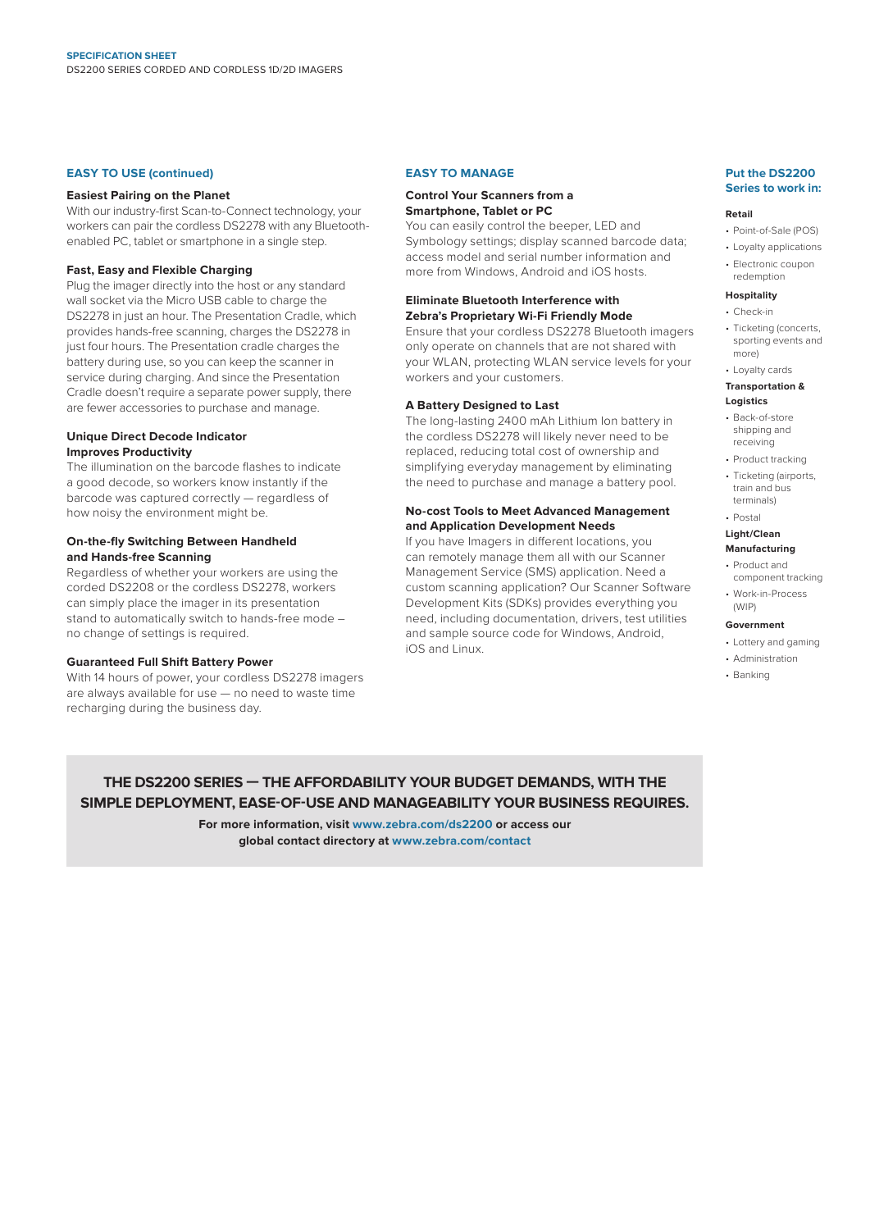#### **EASY TO USE (continued)**

#### **Easiest Pairing on the Planet**

With our industry-first Scan-to-Connect technology, your workers can pair the cordless DS2278 with any Bluetoothenabled PC, tablet or smartphone in a single step.

#### **Fast, Easy and Flexible Charging**

Plug the imager directly into the host or any standard wall socket via the Micro USB cable to charge the DS2278 in just an hour. The Presentation Cradle, which provides hands-free scanning, charges the DS2278 in just four hours. The Presentation cradle charges the battery during use, so you can keep the scanner in service during charging. And since the Presentation Cradle doesn't require a separate power supply, there are fewer accessories to purchase and manage.

### **Unique Direct Decode Indicator Improves Productivity**

The illumination on the barcode flashes to indicate a good decode, so workers know instantly if the barcode was captured correctly — regardless of how noisy the environment might be.

# **On-the-fly Switching Between Handheld and Hands-free Scanning**

Regardless of whether your workers are using the corded DS2208 or the cordless DS2278, workers can simply place the imager in its presentation stand to automatically switch to hands-free mode – no change of settings is required.

#### **Guaranteed Full Shift Battery Power**

With 14 hours of power, your cordless DS2278 imagers are always available for use — no need to waste time recharging during the business day.

### **EASY TO MANAGE**

#### **Control Your Scanners from a Smartphone, Tablet or PC**

You can easily control the beeper, LED and Symbology settings; display scanned barcode data; access model and serial number information and more from Windows, Android and iOS hosts.

#### **Eliminate Bluetooth Interference with Zebra's Proprietary Wi-Fi Friendly Mode**

Ensure that your cordless DS2278 Bluetooth imagers only operate on channels that are not shared with your WLAN, protecting WLAN service levels for your workers and your customers.

# **A Battery Designed to Last**

The long-lasting 2400 mAh Lithium Ion battery in the cordless DS2278 will likely never need to be replaced, reducing total cost of ownership and simplifying everyday management by eliminating the need to purchase and manage a battery pool.

# **No-cost Tools to Meet Advanced Management and Application Development Needs**

If you have Imagers in different locations, you can remotely manage them all with our Scanner Management Service (SMS) application. Need a custom scanning application? Our Scanner Software Development Kits (SDKs) provides everything you need, including documentation, drivers, test utilities and sample source code for Windows, Android, iOS and Linux.

#### **Put the DS2200 Series to work in:**

#### **Retail**

- Point-of-Sale (POS)
- Loyalty applications • Electronic coupon redemption

#### **Hospitality**

- Check-in
- Ticketing (concerts, sporting events and more)
- Loyalty cards

#### **Transportation & Logistics**

- Back-of-store shipping and receiving
- Product tracking
- Ticketing (airports, train and bus terminals)
- Postal

#### **Light/Clean Manufacturing**

- Product and component tracking
- Work-in-Process (WIP)

#### **Government**

- Lottery and gaming
- Administration
- Banking

# **THE DS2200 SERIES — THE AFFORDABILITY YOUR BUDGET DEMANDS, WITH THE SIMPLE DEPLOYMENT, EASE-OF-USE AND MANAGEABILITY YOUR BUSINESS REQUIRES.**

**For more information, visit [www.zebra.com/](http://www.zebra.com/tc75series)ds2200 or access our global contact directory at [www.zebra.com/contact](http://www.zebra.com/contact)**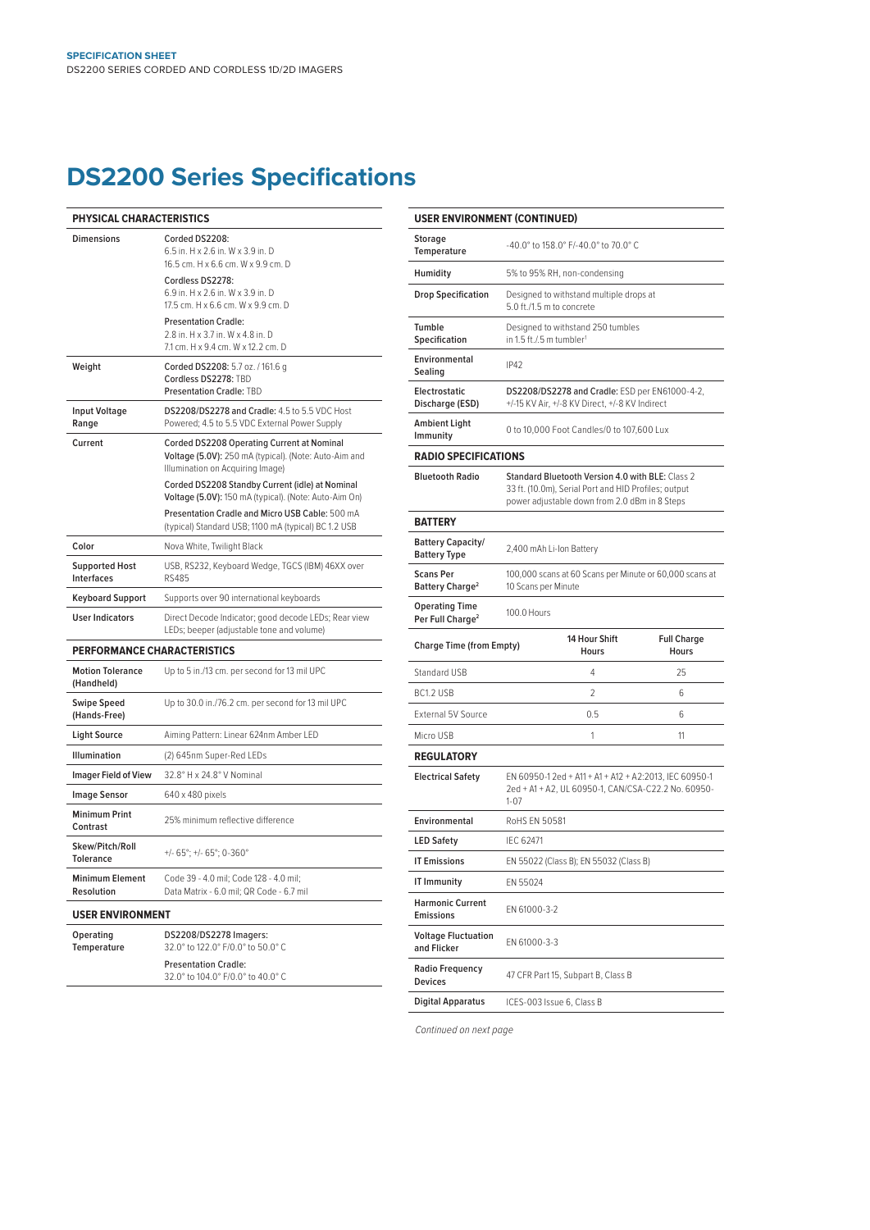# **DS2200 Series Specifications**

| PHYSICAL CHARACTERISTICS                    |                                                                                                                                         |  |  |  |
|---------------------------------------------|-----------------------------------------------------------------------------------------------------------------------------------------|--|--|--|
| <b>Dimensions</b>                           | Corded DS2208:<br>6.5 in. H x 2.6 in. W x 3.9 in. D<br>16.5 cm. H x 6.6 cm. W x 9.9 cm. D                                               |  |  |  |
|                                             | Cordless DS2278:<br>6.9 in. H x 2.6 in. W x 3.9 in. D<br>17.5 cm. H x 6.6 cm. W x 9.9 cm. D                                             |  |  |  |
|                                             | <b>Presentation Cradle:</b><br>2.8 in. H x 3.7 in. W x 4.8 in. D<br>7.1 cm. H x 9.4 cm. W x 12.2 cm. D                                  |  |  |  |
| Weight                                      | Corded DS2208: 5.7 oz. / 161.6 g<br>Cordless DS2278: TBD<br><b>Presentation Cradle: TBD</b>                                             |  |  |  |
| <b>Input Voltage</b><br>Range               | DS2208/DS2278 and Cradle: 4.5 to 5.5 VDC Host<br>Powered; 4.5 to 5.5 VDC External Power Supply                                          |  |  |  |
| Current                                     | Corded DS2208 Operating Current at Nominal<br>Voltage (5.0V): 250 mA (typical). (Note: Auto-Aim and<br>Illumination on Acquiring Image) |  |  |  |
|                                             | Corded DS2208 Standby Current (idle) at Nominal<br>Voltage (5.0V): 150 mA (typical). (Note: Auto-Aim On)                                |  |  |  |
|                                             | Presentation Cradle and Micro USB Cable: 500 mA<br>(typical) Standard USB; 1100 mA (typical) BC 1.2 USB                                 |  |  |  |
| Color                                       | Nova White, Twilight Black                                                                                                              |  |  |  |
| <b>Supported Host</b><br>Interfaces         | USB, RS232, Keyboard Wedge, TGCS (IBM) 46XX over<br><b>RS485</b>                                                                        |  |  |  |
| <b>Keyboard Support</b>                     | Supports over 90 international keyboards                                                                                                |  |  |  |
| <b>User Indicators</b>                      | Direct Decode Indicator; good decode LEDs; Rear view<br>LEDs; beeper (adjustable tone and volume)                                       |  |  |  |
| <b>PERFORMANCE CHARACTERISTICS</b>          |                                                                                                                                         |  |  |  |
| <b>Motion Tolerance</b><br>(Handheld)       | Up to 5 in./13 cm. per second for 13 mil UPC                                                                                            |  |  |  |
| <b>Swipe Speed</b><br>(Hands-Free)          | Up to 30.0 in./76.2 cm. per second for 13 mil UPC                                                                                       |  |  |  |
| <b>Light Source</b>                         | Aiming Pattern: Linear 624nm Amber LED                                                                                                  |  |  |  |
| <b>Illumination</b>                         | (2) 645nm Super-Red LEDs                                                                                                                |  |  |  |
| <b>Imager Field of View</b>                 | 32.8° H x 24.8° V Nominal                                                                                                               |  |  |  |
| <b>Image Sensor</b>                         | 640 x 480 pixels                                                                                                                        |  |  |  |
| <b>Minimum Print</b><br>Contrast            | 25% minimum reflective difference                                                                                                       |  |  |  |
| Skew/Pitch/Roll<br><b>Tolerance</b>         | $+/- 65^{\circ}$ : +/- 65°: 0-360°                                                                                                      |  |  |  |
| <b>Minimum Element</b><br><b>Resolution</b> | Code 39 - 4.0 mil; Code 128 - 4.0 mil;<br>Data Matrix - 6.0 mil; QR Code - 6.7 mil                                                      |  |  |  |
| <b>USER ENVIRONMENT</b>                     |                                                                                                                                         |  |  |  |
| Operating<br><b>Temperature</b>             | DS2208/DS2278 Imagers:<br>32.0° to 122.0° F/0.0° to 50.0° C                                                                             |  |  |  |

Presentation Cradle: 32.0° to 104.0° F/0.0° to 40.0° C

| <b>USER ENVIRONMENT (CONTINUED)</b>                   |                                                                                                                                                           |                                                                                                  |                                    |  |  |
|-------------------------------------------------------|-----------------------------------------------------------------------------------------------------------------------------------------------------------|--------------------------------------------------------------------------------------------------|------------------------------------|--|--|
| <b>Storage</b><br>Temperature                         |                                                                                                                                                           | -40.0° to 158.0° F/-40.0° to 70.0° C                                                             |                                    |  |  |
| Humidity                                              |                                                                                                                                                           | 5% to 95% RH, non-condensing                                                                     |                                    |  |  |
| <b>Drop Specification</b>                             |                                                                                                                                                           | Designed to withstand multiple drops at<br>5.0 ft./1.5 m to concrete                             |                                    |  |  |
| Tumble<br>Specification                               | Designed to withstand 250 tumbles<br>in 1.5 ft./.5 m tumbler <sup>1</sup>                                                                                 |                                                                                                  |                                    |  |  |
| Environmental<br>Sealing                              | <b>IP42</b>                                                                                                                                               |                                                                                                  |                                    |  |  |
| Electrostatic<br>Discharge (ESD)                      |                                                                                                                                                           | DS2208/DS2278 and Cradle: ESD per EN61000-4-2,<br>+/-15 KV Air, +/-8 KV Direct, +/-8 KV Indirect |                                    |  |  |
| Ambient Light<br>Immunity                             | 0 to 10,000 Foot Candles/0 to 107,600 Lux                                                                                                                 |                                                                                                  |                                    |  |  |
| <b>RADIO SPECIFICATIONS</b>                           |                                                                                                                                                           |                                                                                                  |                                    |  |  |
| <b>Bluetooth Radio</b>                                | Standard Bluetooth Version 4.0 with BLE: Class 2<br>33 ft. (10.0m), Serial Port and HID Profiles; output<br>power adjustable down from 2.0 dBm in 8 Steps |                                                                                                  |                                    |  |  |
| <b>BATTERY</b>                                        |                                                                                                                                                           |                                                                                                  |                                    |  |  |
| <b>Battery Capacity/</b><br><b>Battery Type</b>       | 2,400 mAh Li-Ion Battery                                                                                                                                  |                                                                                                  |                                    |  |  |
| <b>Scans Per</b><br><b>Battery Charge<sup>2</sup></b> | 100,000 scans at 60 Scans per Minute or 60,000 scans at<br>10 Scans per Minute                                                                            |                                                                                                  |                                    |  |  |
| <b>Operating Time</b><br>Per Full Charge <sup>2</sup> | 100.0 Hours                                                                                                                                               |                                                                                                  |                                    |  |  |
| <b>Charge Time (from Empty)</b>                       |                                                                                                                                                           | 14 Hour Shift<br><b>Hours</b>                                                                    | <b>Full Charge</b><br><b>Hours</b> |  |  |
| Standard USB                                          |                                                                                                                                                           | 4                                                                                                | 25                                 |  |  |
| BC1.2 USB                                             |                                                                                                                                                           | 2                                                                                                | 6                                  |  |  |
| <b>External 5V Source</b>                             |                                                                                                                                                           | 0.5                                                                                              | 6                                  |  |  |
| Micro USB                                             |                                                                                                                                                           | 1                                                                                                | 11                                 |  |  |
| <b>REGULATORY</b>                                     |                                                                                                                                                           |                                                                                                  |                                    |  |  |
| <b>Electrical Safety</b>                              | EN 60950-1 2ed + A11 + A1 + A12 + A2:2013, IEC 60950-1<br>2ed + A1 + A2, UL 60950-1, CAN/CSA-C22.2 No. 60950-<br>$1 - 07$                                 |                                                                                                  |                                    |  |  |
| Environmental                                         | RoHS EN 50581                                                                                                                                             |                                                                                                  |                                    |  |  |
| <b>LED Safety</b>                                     | IEC 62471                                                                                                                                                 |                                                                                                  |                                    |  |  |
| <b>IT Emissions</b>                                   | EN 55022 (Class B); EN 55032 (Class B)                                                                                                                    |                                                                                                  |                                    |  |  |
| <b>IT Immunity</b>                                    | EN 55024                                                                                                                                                  |                                                                                                  |                                    |  |  |
| <b>Harmonic Current</b><br><b>Emissions</b>           | EN 61000-3-2                                                                                                                                              |                                                                                                  |                                    |  |  |
| <b>Voltage Fluctuation</b><br>and Flicker             | EN 61000-3-3                                                                                                                                              |                                                                                                  |                                    |  |  |
| <b>Radio Frequency</b><br><b>Devices</b>              |                                                                                                                                                           | 47 CFR Part 15, Subpart B, Class B                                                               |                                    |  |  |
| <b>Digital Apparatus</b>                              |                                                                                                                                                           | ICES-003 Issue 6, Class B                                                                        |                                    |  |  |

*Continued on next page*